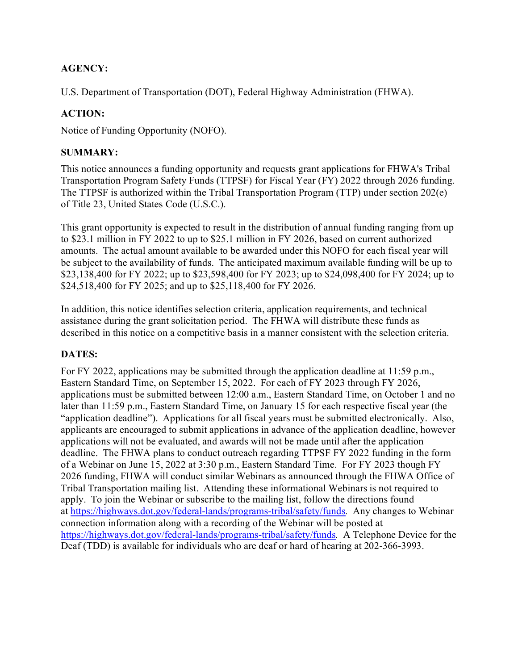# **AGENCY:**

U.S. Department of Transportation (DOT), Federal Highway Administration (FHWA).

# **ACTION:**

Notice of Funding Opportunity (NOFO).

# **SUMMARY:**

This notice announces a funding opportunity and requests grant applications for FHWA's Tribal Transportation Program Safety Funds (TTPSF) for Fiscal Year (FY) 2022 through 2026 funding. The TTPSF is authorized within the Tribal Transportation Program (TTP) under section 202(e) of Title 23, United States Code (U.S.C.).

This grant opportunity is expected to result in the distribution of annual funding ranging from up to \$23.1 million in FY 2022 to up to \$25.1 million in FY 2026, based on current authorized amounts. The actual amount available to be awarded under this NOFO for each fiscal year will be subject to the availability of funds. The anticipated maximum available funding will be up to \$23,138,400 for FY 2022; up to \$23,598,400 for FY 2023; up to \$24,098,400 for FY 2024; up to \$24,518,400 for FY 2025; and up to \$25,118,400 for FY 2026.

In addition, this notice identifies selection criteria, application requirements, and technical assistance during the grant solicitation period. The FHWA will distribute these funds as described in this notice on a competitive basis in a manner consistent with the selection criteria.

# **DATES:**

For FY 2022, applications may be submitted through the application deadline at 11:59 p.m., Eastern Standard Time, on September 15, 2022. For each of FY 2023 through FY 2026, applications must be submitted between 12:00 a.m., Eastern Standard Time, on October 1 and no later than 11:59 p.m., Eastern Standard Time, on January 15 for each respective fiscal year (the "application deadline"). Applications for all fiscal years must be submitted electronically. Also, applicants are encouraged to submit applications in advance of the application deadline, however applications will not be evaluated, and awards will not be made until after the application deadline. The FHWA plans to conduct outreach regarding TTPSF FY 2022 funding in the form of a Webinar on June 15, 2022 at 3:30 p.m., Eastern Standard Time. For FY 2023 though FY 2026 funding, FHWA will conduct similar Webinars as announced through the FHWA Office of Tribal Transportation mailing list. Attending these informational Webinars is not required to apply. To join the Webinar or subscribe to the mailing list, follow the directions found at [https://highways.dot.gov/federal-lands/programs-tribal/safety/funds](https://flh.fhwa.dot.gov/programs/ttp/safety/ttpsf.htm)*.* Any changes to Webinar connection information along with a recording of the Webinar will be posted at [https://highways.dot.gov/federal-lands/programs-tribal/safety/funds](https://flh.fhwa.dot.gov/programs/ttp/safety/ttpsf.htm)*.* A Telephone Device for the Deaf (TDD) is available for individuals who are deaf or hard of hearing at 202-366-3993.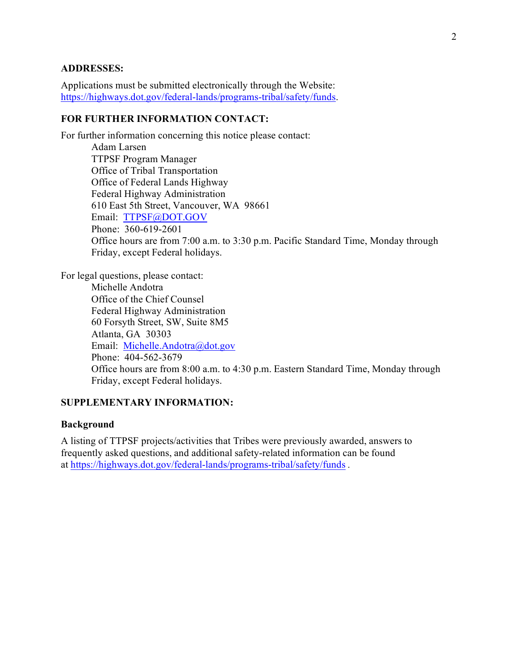### **ADDRESSES:**

Applications must be submitted electronically through the Website: [https://highways.dot.gov/federal-lands/programs-tribal/safety/funds.](https://highways.dot.gov/federal-lands/programs-tribal/safety/funds)

#### **FOR FURTHER INFORMATION CONTACT:**

For further information concerning this notice please contact: Adam Larsen TTPSF Program Manager Office of Tribal Transportation Office of Federal Lands Highway Federal Highway Administration 610 East 5th Street, Vancouver, WA 98661 Email: [TTPSF@DOT.GOV](mailto:TTPSF@DOT.GOV)  Phone: 360-619-2601 Office hours are from 7:00 a.m. to 3:30 p.m. Pacific Standard Time, Monday through Friday, except Federal holidays.

For legal questions, please contact: Michelle Andotra Office of the Chief Counsel Federal Highway Administration 60 Forsyth Street, SW, Suite 8M5 Atlanta, GA 30303 Email: [Michelle.Andotra@dot.gov](mailto:Michelle.Andotra@dot.gov) Phone: 404-562-3679 Office hours are from 8:00 a.m. to 4:30 p.m. Eastern Standard Time, Monday through Friday, except Federal holidays.

## **SUPPLEMENTARY INFORMATION:**

#### **Background**

A listing of TTPSF projects/activities that Tribes were previously awarded, answers to frequently asked questions, and additional safety-related information can be found at <https://highways.dot.gov/federal-lands/programs-tribal/safety/funds> *.*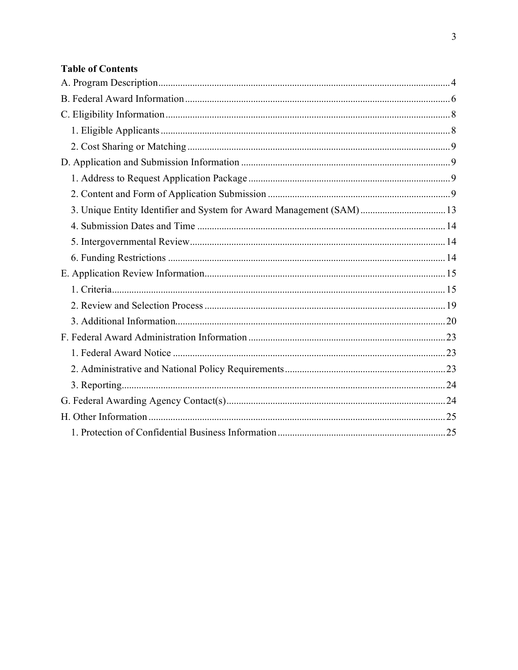# **Table of Contents**

| 3. Unique Entity Identifier and System for Award Management (SAM) 13 |  |
|----------------------------------------------------------------------|--|
|                                                                      |  |
|                                                                      |  |
|                                                                      |  |
|                                                                      |  |
|                                                                      |  |
|                                                                      |  |
|                                                                      |  |
|                                                                      |  |
|                                                                      |  |
|                                                                      |  |
|                                                                      |  |
|                                                                      |  |
|                                                                      |  |
|                                                                      |  |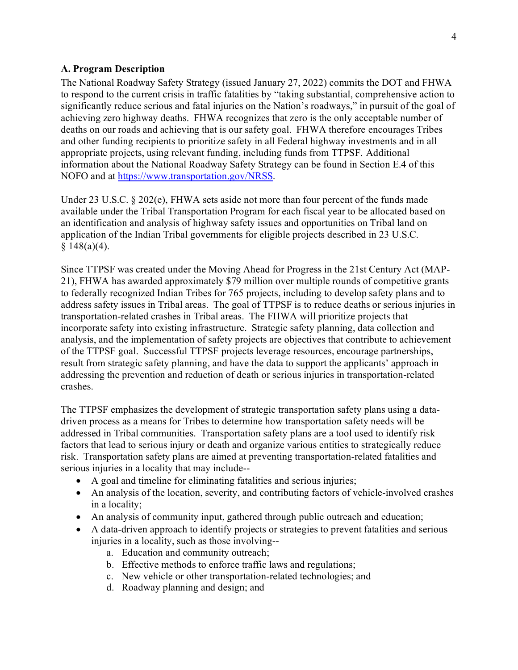### <span id="page-3-0"></span>**A. Program Description**

The National Roadway Safety Strategy (issued January 27, 2022) commits the DOT and FHWA to respond to the current crisis in traffic fatalities by "taking substantial, comprehensive action to significantly reduce serious and fatal injuries on the Nation's roadways," in pursuit of the goal of achieving zero highway deaths. FHWA recognizes that zero is the only acceptable number of deaths on our roads and achieving that is our safety goal. FHWA therefore encourages Tribes and other funding recipients to prioritize safety in all Federal highway investments and in all appropriate projects, using relevant funding, including funds from TTPSF. Additional information about the National Roadway Safety Strategy can be found in Section E.4 of this NOFO and at [https://www.transportation.gov/NRSS.](https://www.transportation.gov/NRSS)

Under 23 U.S.C. § 202(e), FHWA sets aside not more than four percent of the funds made available under the Tribal Transportation Program for each fiscal year to be allocated based on an identification and analysis of highway safety issues and opportunities on Tribal land on application of the Indian Tribal governments for eligible projects described in 23 U.S.C.  $§ 148(a)(4).$ 

Since TTPSF was created under the Moving Ahead for Progress in the 21st Century Act (MAP-21), FHWA has awarded approximately \$79 million over multiple rounds of competitive grants to federally recognized Indian Tribes for 765 projects, including to develop safety plans and to address safety issues in Tribal areas. The goal of TTPSF is to reduce deaths or serious injuries in transportation-related crashes in Tribal areas. The FHWA will prioritize projects that incorporate safety into existing infrastructure. Strategic safety planning, data collection and analysis, and the implementation of safety projects are objectives that contribute to achievement of the TTPSF goal. Successful TTPSF projects leverage resources, encourage partnerships, result from strategic safety planning, and have the data to support the applicants' approach in addressing the prevention and reduction of death or serious injuries in transportation-related crashes.

The TTPSF emphasizes the development of strategic transportation safety plans using a datadriven process as a means for Tribes to determine how transportation safety needs will be addressed in Tribal communities. Transportation safety plans are a tool used to identify risk factors that lead to serious injury or death and organize various entities to strategically reduce risk. Transportation safety plans are aimed at preventing transportation-related fatalities and serious injuries in a locality that may include--

- A goal and timeline for eliminating fatalities and serious injuries;
- An analysis of the location, severity, and contributing factors of vehicle-involved crashes in a locality;
- An analysis of community input, gathered through public outreach and education;
- A data-driven approach to identify projects or strategies to prevent fatalities and serious injuries in a locality, such as those involving-
	- a. Education and community outreach;
	- b. Effective methods to enforce traffic laws and regulations;
	- c. New vehicle or other transportation-related technologies; and
	- d. Roadway planning and design; and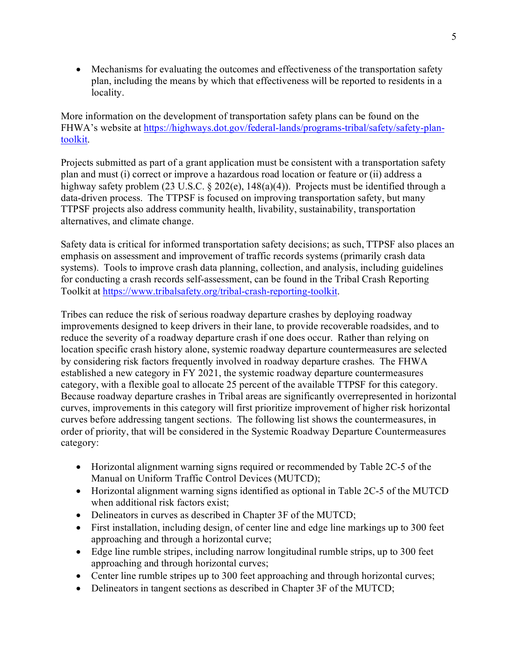• Mechanisms for evaluating the outcomes and effectiveness of the transportation safety plan, including the means by which that effectiveness will be reported to residents in a locality.

More information on the development of transportation safety plans can be found on the FHWA's website at [https://highways.dot.gov/federal-lands/programs-tribal/safety/safety-plan](https://highways.dot.gov/federal-lands/programs-tribal/safety/safety-plan-toolkit)[toolkit.](https://highways.dot.gov/federal-lands/programs-tribal/safety/safety-plan-toolkit)

Projects submitted as part of a grant application must be consistent with a transportation safety plan and must (i) correct or improve a hazardous road location or feature or (ii) address a highway safety problem (23 U.S.C. § 202(e), 148(a)(4)). Projects must be identified through a data-driven process. The TTPSF is focused on improving transportation safety, but many TTPSF projects also address community health, livability, sustainability, transportation alternatives, and climate change.

Safety data is critical for informed transportation safety decisions; as such, TTPSF also places an emphasis on assessment and improvement of traffic records systems (primarily crash data systems). Tools to improve crash data planning, collection, and analysis, including guidelines for conducting a crash records self-assessment, can be found in the Tribal Crash Reporting Toolkit at [https://www.tribalsafety.org/tribal-crash-reporting-toolkit.](https://www.tribalsafety.org/tribal-crash-reporting-toolkit)

Tribes can reduce the risk of serious roadway departure crashes by deploying roadway improvements designed to keep drivers in their lane, to provide recoverable roadsides, and to reduce the severity of a roadway departure crash if one does occur. Rather than relying on location specific crash history alone, systemic roadway departure countermeasures are selected by considering risk factors frequently involved in roadway departure crashes. The FHWA established a new category in FY 2021, the systemic roadway departure countermeasures category, with a flexible goal to allocate 25 percent of the available TTPSF for this category. Because roadway departure crashes in Tribal areas are significantly overrepresented in horizontal curves, improvements in this category will first prioritize improvement of higher risk horizontal curves before addressing tangent sections. The following list shows the countermeasures, in order of priority, that will be considered in the Systemic Roadway Departure Countermeasures category:

- Horizontal alignment warning signs required or recommended by Table 2C-5 of the Manual on Uniform Traffic Control Devices (MUTCD);
- Horizontal alignment warning signs identified as optional in Table 2C-5 of the MUTCD when additional risk factors exist;
- Delineators in curves as described in Chapter 3F of the MUTCD;
- First installation, including design, of center line and edge line markings up to 300 feet approaching and through a horizontal curve;
- Edge line rumble stripes, including narrow longitudinal rumble strips, up to 300 feet approaching and through horizontal curves;
- Center line rumble stripes up to 300 feet approaching and through horizontal curves;
- Delineators in tangent sections as described in Chapter 3F of the MUTCD;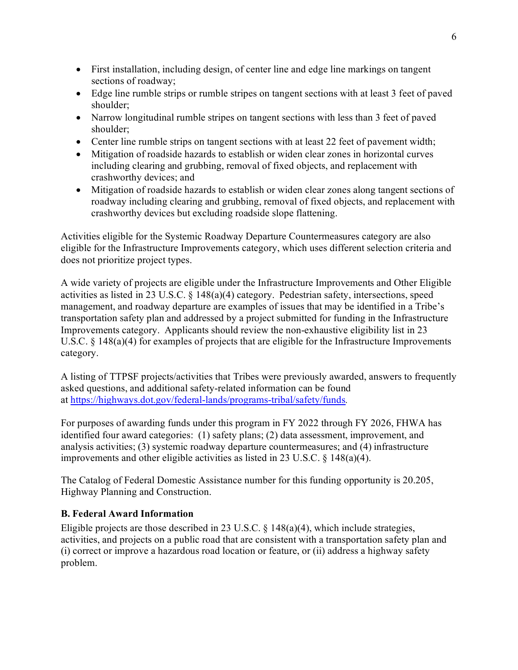- First installation, including design, of center line and edge line markings on tangent sections of roadway;
- Edge line rumble strips or rumble stripes on tangent sections with at least 3 feet of paved shoulder;
- Narrow longitudinal rumble stripes on tangent sections with less than 3 feet of paved shoulder;
- Center line rumble strips on tangent sections with at least 22 feet of pavement width;
- Mitigation of roadside hazards to establish or widen clear zones in horizontal curves including clearing and grubbing, removal of fixed objects, and replacement with crashworthy devices; and
- Mitigation of roadside hazards to establish or widen clear zones along tangent sections of roadway including clearing and grubbing, removal of fixed objects, and replacement with crashworthy devices but excluding roadside slope flattening.

Activities eligible for the Systemic Roadway Departure Countermeasures category are also eligible for the Infrastructure Improvements category, which uses different selection criteria and does not prioritize project types.

A wide variety of projects are eligible under the Infrastructure Improvements and Other Eligible activities as listed in 23 U.S.C. § 148(a)(4) category. Pedestrian safety, intersections, speed management, and roadway departure are examples of issues that may be identified in a Tribe's transportation safety plan and addressed by a project submitted for funding in the Infrastructure Improvements category. Applicants should review the non-exhaustive eligibility list in 23 U.S.C. § 148(a)(4) for examples of projects that are eligible for the Infrastructure Improvements category.

A listing of TTPSF projects/activities that Tribes were previously awarded, answers to frequently asked questions, and additional safety-related information can be found at <https://highways.dot.gov/federal-lands/programs-tribal/safety/funds>*.*

For purposes of awarding funds under this program in FY 2022 through FY 2026, FHWA has identified four award categories: (1) safety plans; (2) data assessment, improvement, and analysis activities; (3) systemic roadway departure countermeasures; and (4) infrastructure improvements and other eligible activities as listed in 23 U.S.C. § 148(a)(4).

The Catalog of Federal Domestic Assistance number for this funding opportunity is 20.205, Highway Planning and Construction.

# <span id="page-5-0"></span>**B. Federal Award Information**

Eligible projects are those described in 23 U.S.C.  $\S$  148(a)(4), which include strategies, activities, and projects on a public road that are consistent with a transportation safety plan and (i) correct or improve a hazardous road location or feature, or (ii) address a highway safety problem.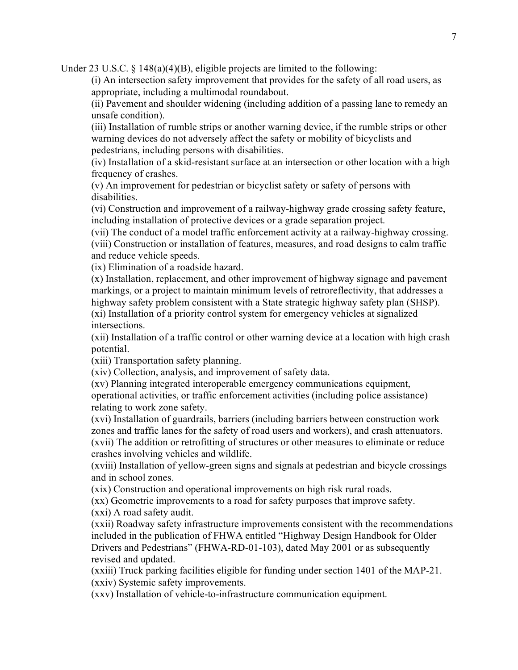Under 23 U.S.C.  $\S$  148(a)(4)(B), eligible projects are limited to the following:

(i) An intersection safety improvement that provides for the safety of all road users, as appropriate, including a multimodal roundabout.

(ii) Pavement and shoulder widening (including addition of a passing lane to remedy an unsafe condition).

(iii) Installation of rumble strips or another warning device, if the rumble strips or other warning devices do not adversely affect the safety or mobility of bicyclists and pedestrians, including persons with disabilities.

(iv) Installation of a skid-resistant surface at an intersection or other location with a high frequency of crashes.

(v) An improvement for pedestrian or bicyclist safety or safety of persons with disabilities.

(vi) Construction and improvement of a railway-highway grade crossing safety feature, including installation of protective devices or a grade separation project.

(vii) The conduct of a model traffic enforcement activity at a railway-highway crossing. (viii) Construction or installation of features, measures, and road designs to calm traffic and reduce vehicle speeds.

(ix) Elimination of a roadside hazard.

(x) Installation, replacement, and other improvement of highway signage and pavement markings, or a project to maintain minimum levels of retroreflectivity, that addresses a highway safety problem consistent with a State strategic highway safety plan (SHSP).

(xi) Installation of a priority control system for emergency vehicles at signalized intersections.

(xii) Installation of a traffic control or other warning device at a location with high crash potential.

(xiii) Transportation safety planning.

(xiv) Collection, analysis, and improvement of safety data.

(xv) Planning integrated interoperable emergency communications equipment, operational activities, or traffic enforcement activities (including police assistance) relating to work zone safety.

(xvi) Installation of guardrails, barriers (including barriers between construction work zones and traffic lanes for the safety of road users and workers), and crash attenuators. (xvii) The addition or retrofitting of structures or other measures to eliminate or reduce crashes involving vehicles and wildlife.

(xviii) Installation of yellow-green signs and signals at pedestrian and bicycle crossings and in school zones.

(xix) Construction and operational improvements on high risk rural roads.

(xx) Geometric improvements to a road for safety purposes that improve safety.

(xxi) A road safety audit.

(xxii) Roadway safety infrastructure improvements consistent with the recommendations included in the publication of FHWA entitled "Highway Design Handbook for Older Drivers and Pedestrians" (FHWA-RD-01-103), dated May 2001 or as subsequently revised and updated.

(xxiii) Truck parking facilities eligible for funding under section 1401 of the MAP-21. (xxiv) Systemic safety improvements.

(xxv) Installation of vehicle-to-infrastructure communication equipment.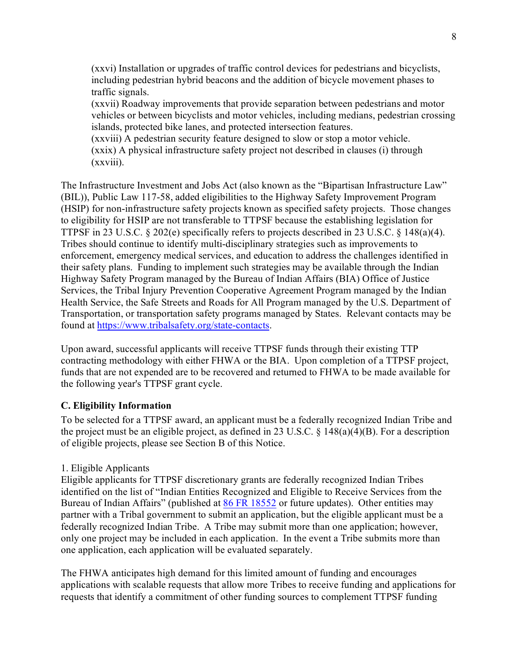(xxvi) Installation or upgrades of traffic control devices for pedestrians and bicyclists, including pedestrian hybrid beacons and the addition of bicycle movement phases to traffic signals.

(xxvii) Roadway improvements that provide separation between pedestrians and motor vehicles or between bicyclists and motor vehicles, including medians, pedestrian crossing islands, protected bike lanes, and protected intersection features.

(xxviii) A pedestrian security feature designed to slow or stop a motor vehicle. (xxix) A physical infrastructure safety project not described in clauses (i) through (xxviii).

The Infrastructure Investment and Jobs Act (also known as the "Bipartisan Infrastructure Law" (BIL)), Public Law 117-58, added eligibilities to the Highway Safety Improvement Program (HSIP) for non-infrastructure safety projects known as specified safety projects. Those changes to eligibility for HSIP are not transferable to TTPSF because the establishing legislation for TTPSF in 23 U.S.C. § 202(e) specifically refers to projects described in 23 U.S.C. § 148(a)(4). Tribes should continue to identify multi-disciplinary strategies such as improvements to enforcement, emergency medical services, and education to address the challenges identified in their safety plans. Funding to implement such strategies may be available through the Indian Highway Safety Program managed by the Bureau of Indian Affairs (BIA) Office of Justice Services, the Tribal Injury Prevention Cooperative Agreement Program managed by the Indian Health Service, the Safe Streets and Roads for All Program managed by the U.S. Department of Transportation, or transportation safety programs managed by States. Relevant contacts may be found at [https://www.tribalsafety.org/state-contacts.](https://www.tribalsafety.org/state-contacts)

Upon award, successful applicants will receive TTPSF funds through their existing TTP contracting methodology with either FHWA or the BIA. Upon completion of a TTPSF project, funds that are not expended are to be recovered and returned to FHWA to be made available for the following year's TTPSF grant cycle.

### <span id="page-7-0"></span>**C. Eligibility Information**

To be selected for a TTPSF award, an applicant must be a federally recognized Indian Tribe and the project must be an eligible project, as defined in 23 U.S.C. § 148(a)(4)(B). For a description of eligible projects, please see Section B of this Notice.

# <span id="page-7-1"></span>1. Eligible Applicants

Eligible applicants for TTPSF discretionary grants are federally recognized Indian Tribes identified on the list of "Indian Entities Recognized and Eligible to Receive Services from the Bureau of Indian Affairs" (published at [86 FR 18552](https://www.federalregister.gov/d/2020-01707/p-8) or future updates). Other entities may partner with a Tribal government to submit an application, but the eligible applicant must be a federally recognized Indian Tribe. A Tribe may submit more than one application; however, only one project may be included in each application. In the event a Tribe submits more than one application, each application will be evaluated separately.

The FHWA anticipates high demand for this limited amount of funding and encourages applications with scalable requests that allow more Tribes to receive funding and applications for requests that identify a commitment of other funding sources to complement TTPSF funding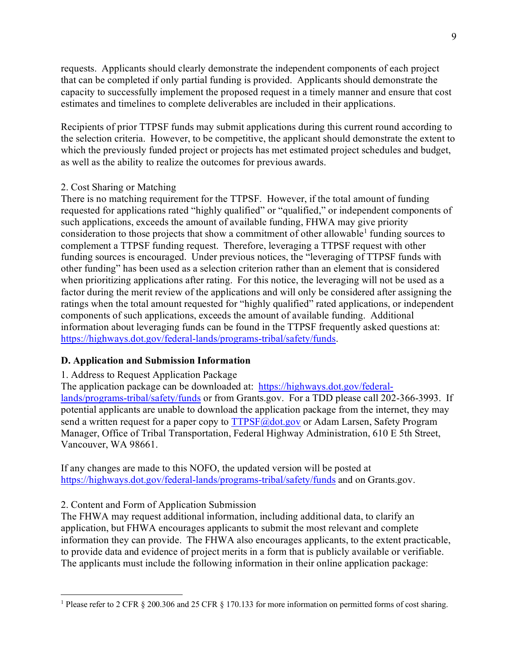requests. Applicants should clearly demonstrate the independent components of each project that can be completed if only partial funding is provided. Applicants should demonstrate the capacity to successfully implement the proposed request in a timely manner and ensure that cost estimates and timelines to complete deliverables are included in their applications.

Recipients of prior TTPSF funds may submit applications during this current round according to the selection criteria. However, to be competitive, the applicant should demonstrate the extent to which the previously funded project or projects has met estimated project schedules and budget, as well as the ability to realize the outcomes for previous awards.

#### <span id="page-8-0"></span>2. Cost Sharing or Matching

There is no matching requirement for the TTPSF. However, if the total amount of funding requested for applications rated "highly qualified" or "qualified," or independent components of such applications, exceeds the amount of available funding, FHWA may give priority consideration to those projects that show a commitment of other allowable<sup>1</sup> funding sources to complement a TTPSF funding request. Therefore, leveraging a TTPSF request with other funding sources is encouraged. Under previous notices, the "leveraging of TTPSF funds with other funding" has been used as a selection criterion rather than an element that is considered when prioritizing applications after rating. For this notice, the leveraging will not be used as a factor during the merit review of the applications and will only be considered after assigning the ratings when the total amount requested for "highly qualified" rated applications, or independent components of such applications, exceeds the amount of available funding. Additional information about leveraging funds can be found in the TTPSF frequently asked questions at: [https://highways.dot.gov/federal-lands/programs-tribal/safety/funds.](https://highways.dot.gov/federal-lands/programs-tribal/safety/funds)

#### <span id="page-8-1"></span>**D. Application and Submission Information**

#### <span id="page-8-2"></span>1. Address to Request Application Package

The application package can be downloaded at: [https://highways.dot.gov/federal](https://highways.dot.gov/federal-lands/programs-tribal/safety/funds)[lands/programs-tribal/safety/funds](https://highways.dot.gov/federal-lands/programs-tribal/safety/funds) or from Grants.gov. For a TDD please call 202-366-3993. If potential applicants are unable to download the application package from the internet, they may send a written request for a paper copy to [TTPSF@dot.gov](mailto:TTPSF@dot.gov) or Adam Larsen, Safety Program Manager, Office of Tribal Transportation, Federal Highway Administration, 610 E 5th Street, Vancouver, WA 98661.

If any changes are made to this NOFO, the updated version will be posted at <https://highways.dot.gov/federal-lands/programs-tribal/safety/funds> and on Grants.gov.

#### <span id="page-8-3"></span>2. Content and Form of Application Submission

The FHWA may request additional information, including additional data, to clarify an application, but FHWA encourages applicants to submit the most relevant and complete information they can provide. The FHWA also encourages applicants, to the extent practicable, to provide data and evidence of project merits in a form that is publicly available or verifiable. The applicants must include the following information in their online application package:

<span id="page-8-4"></span><sup>&</sup>lt;sup>1</sup> Please refer to 2 CFR § 200.306 and 25 CFR § 170.133 for more information on permitted forms of cost sharing.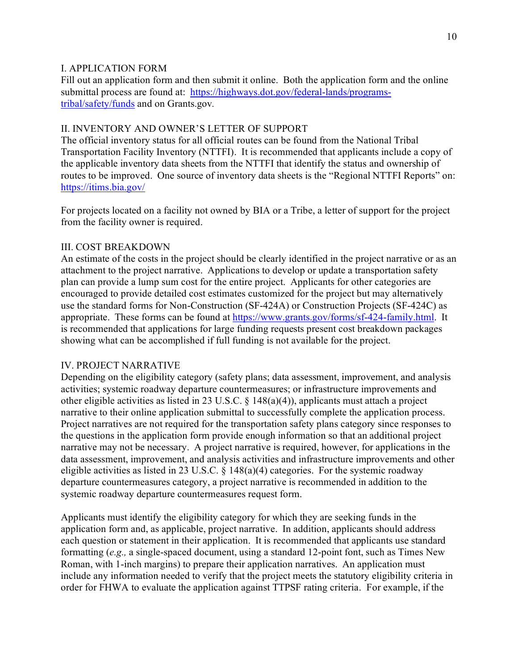### I. APPLICATION FORM

Fill out an application form and then submit it online. Both the application form and the online submittal process are found at: [https://highways.dot.gov/federal-lands/programs](https://highways.dot.gov/federal-lands/programs-tribal/safety/funds)[tribal/safety/funds](https://highways.dot.gov/federal-lands/programs-tribal/safety/funds) and on Grants.gov*.*

#### II. INVENTORY AND OWNER'S LETTER OF SUPPORT

The official inventory status for all official routes can be found from the National Tribal Transportation Facility Inventory (NTTFI). It is recommended that applicants include a copy of the applicable inventory data sheets from the NTTFI that identify the status and ownership of routes to be improved. One source of inventory data sheets is the "Regional NTTFI Reports" on: <https://itims.bia.gov/>

For projects located on a facility not owned by BIA or a Tribe, a letter of support for the project from the facility owner is required.

### III. COST BREAKDOWN

An estimate of the costs in the project should be clearly identified in the project narrative or as an attachment to the project narrative. Applications to develop or update a transportation safety plan can provide a lump sum cost for the entire project. Applicants for other categories are encouraged to provide detailed cost estimates customized for the project but may alternatively use the standard forms for Non-Construction (SF-424A) or Construction Projects (SF-424C) as appropriate. These forms can be found at [https://www.grants.gov/forms/sf-424-family.html.](https://www.grants.gov/forms/sf-424-family.html) It is recommended that applications for large funding requests present cost breakdown packages showing what can be accomplished if full funding is not available for the project.

### IV. PROJECT NARRATIVE

Depending on the eligibility category (safety plans; data assessment, improvement, and analysis activities; systemic roadway departure countermeasures; or infrastructure improvements and other eligible activities as listed in 23 U.S.C. § 148(a)(4)), applicants must attach a project narrative to their online application submittal to successfully complete the application process. Project narratives are not required for the transportation safety plans category since responses to the questions in the application form provide enough information so that an additional project narrative may not be necessary. A project narrative is required, however, for applications in the data assessment, improvement, and analysis activities and infrastructure improvements and other eligible activities as listed in 23 U.S.C.  $\S$  148(a)(4) categories. For the systemic roadway departure countermeasures category, a project narrative is recommended in addition to the systemic roadway departure countermeasures request form.

Applicants must identify the eligibility category for which they are seeking funds in the application form and, as applicable, project narrative. In addition, applicants should address each question or statement in their application. It is recommended that applicants use standard formatting (*e.g.,* a single-spaced document, using a standard 12-point font, such as Times New Roman, with 1-inch margins) to prepare their application narratives. An application must include any information needed to verify that the project meets the statutory eligibility criteria in order for FHWA to evaluate the application against TTPSF rating criteria. For example, if the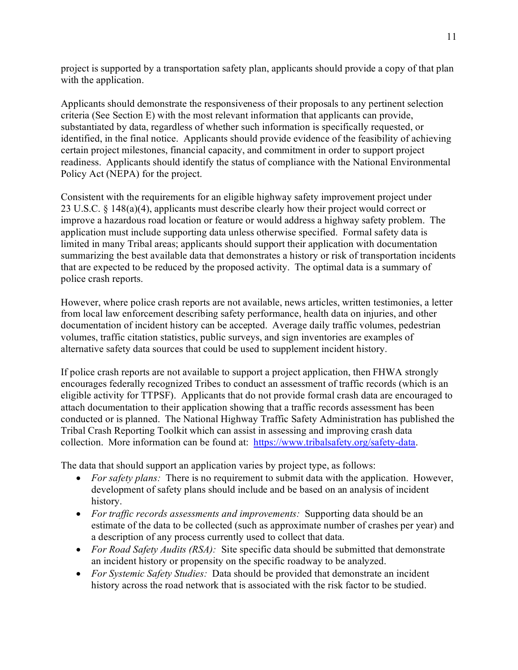project is supported by a transportation safety plan, applicants should provide a copy of that plan with the application.

Applicants should demonstrate the responsiveness of their proposals to any pertinent selection criteria (See Section E) with the most relevant information that applicants can provide, substantiated by data, regardless of whether such information is specifically requested, or identified, in the final notice. Applicants should provide evidence of the feasibility of achieving certain project milestones, financial capacity, and commitment in order to support project readiness. Applicants should identify the status of compliance with the National Environmental Policy Act (NEPA) for the project.

Consistent with the requirements for an eligible highway safety improvement project under 23 U.S.C. § 148(a)(4), applicants must describe clearly how their project would correct or improve a hazardous road location or feature or would address a highway safety problem. The application must include supporting data unless otherwise specified. Formal safety data is limited in many Tribal areas; applicants should support their application with documentation summarizing the best available data that demonstrates a history or risk of transportation incidents that are expected to be reduced by the proposed activity. The optimal data is a summary of police crash reports.

However, where police crash reports are not available, news articles, written testimonies, a letter from local law enforcement describing safety performance, health data on injuries, and other documentation of incident history can be accepted. Average daily traffic volumes, pedestrian volumes, traffic citation statistics, public surveys, and sign inventories are examples of alternative safety data sources that could be used to supplement incident history.

If police crash reports are not available to support a project application, then FHWA strongly encourages federally recognized Tribes to conduct an assessment of traffic records (which is an eligible activity for TTPSF). Applicants that do not provide formal crash data are encouraged to attach documentation to their application showing that a traffic records assessment has been conducted or is planned.The National Highway Traffic Safety Administration has published the Tribal Crash Reporting Toolkit which can assist in assessing and improving crash data collection. More information can be found at: [https://www.tribalsafety.org/safety-data.](https://www.tribalsafety.org/safety-data)

The data that should support an application varies by project type, as follows:

- *For safety plans:* There is no requirement to submit data with the application. However, development of safety plans should include and be based on an analysis of incident history.
- *For traffic records assessments and improvements:* Supporting data should be an estimate of the data to be collected (such as approximate number of crashes per year) and a description of any process currently used to collect that data.
- *For Road Safety Audits (RSA):* Site specific data should be submitted that demonstrate an incident history or propensity on the specific roadway to be analyzed.
- *For Systemic Safety Studies:* Data should be provided that demonstrate an incident history across the road network that is associated with the risk factor to be studied.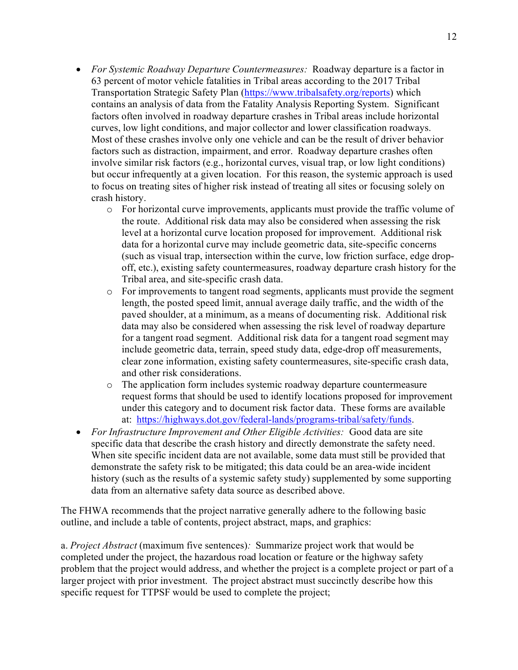- *For Systemic Roadway Departure Countermeasures:* Roadway departure is a factor in 63 percent of motor vehicle fatalities in Tribal areas according to the 2017 Tribal Transportation Strategic Safety Plan [\(https://www.tribalsafety.org/reports\)](https://www.tribalsafety.org/reports) which contains an analysis of data from the Fatality Analysis Reporting System. Significant factors often involved in roadway departure crashes in Tribal areas include horizontal curves, low light conditions, and major collector and lower classification roadways. Most of these crashes involve only one vehicle and can be the result of driver behavior factors such as distraction, impairment, and error. Roadway departure crashes often involve similar risk factors (e.g., horizontal curves, visual trap, or low light conditions) but occur infrequently at a given location. For this reason, the systemic approach is used to focus on treating sites of higher risk instead of treating all sites or focusing solely on crash history.
	- o For horizontal curve improvements, applicants must provide the traffic volume of the route. Additional risk data may also be considered when assessing the risk level at a horizontal curve location proposed for improvement. Additional risk data for a horizontal curve may include geometric data, site-specific concerns (such as visual trap, intersection within the curve, low friction surface, edge dropoff, etc.), existing safety countermeasures, roadway departure crash history for the Tribal area, and site-specific crash data.
	- o For improvements to tangent road segments, applicants must provide the segment length, the posted speed limit, annual average daily traffic, and the width of the paved shoulder, at a minimum, as a means of documenting risk. Additional risk data may also be considered when assessing the risk level of roadway departure for a tangent road segment. Additional risk data for a tangent road segment may include geometric data, terrain, speed study data, edge-drop off measurements, clear zone information, existing safety countermeasures, site-specific crash data, and other risk considerations.
	- o The application form includes systemic roadway departure countermeasure request forms that should be used to identify locations proposed for improvement under this category and to document risk factor data. These forms are available at: [https://highways.dot.gov/federal-lands/programs-tribal/safety/funds.](https://highways.dot.gov/federal-lands/programs-tribal/safety/funds)
- *For Infrastructure Improvement and Other Eligible Activities:* Good data are site specific data that describe the crash history and directly demonstrate the safety need. When site specific incident data are not available, some data must still be provided that demonstrate the safety risk to be mitigated; this data could be an area-wide incident history (such as the results of a systemic safety study) supplemented by some supporting data from an alternative safety data source as described above.

The FHWA recommends that the project narrative generally adhere to the following basic outline, and include a table of contents, project abstract, maps, and graphics:

a. *Project Abstract* (maximum five sentences)*:* Summarize project work that would be completed under the project, the hazardous road location or feature or the highway safety problem that the project would address, and whether the project is a complete project or part of a larger project with prior investment. The project abstract must succinctly describe how this specific request for TTPSF would be used to complete the project;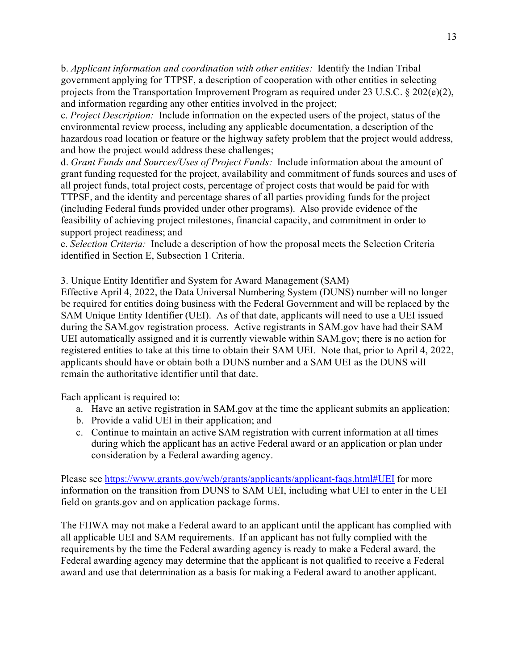b. *Applicant information and coordination with other entities:* Identify the Indian Tribal government applying for TTPSF, a description of cooperation with other entities in selecting projects from the Transportation Improvement Program as required under 23 U.S.C. § 202(e)(2), and information regarding any other entities involved in the project;

c. *Project Description:* Include information on the expected users of the project, status of the environmental review process, including any applicable documentation, a description of the hazardous road location or feature or the highway safety problem that the project would address, and how the project would address these challenges;

d. *Grant Funds and Sources/Uses of Project Funds:* Include information about the amount of grant funding requested for the project, availability and commitment of funds sources and uses of all project funds, total project costs, percentage of project costs that would be paid for with TTPSF, and the identity and percentage shares of all parties providing funds for the project (including Federal funds provided under other programs). Also provide evidence of the feasibility of achieving project milestones, financial capacity, and commitment in order to support project readiness; and

e. *Selection Criteria:* Include a description of how the proposal meets the Selection Criteria identified in Section E, Subsection 1 Criteria.

<span id="page-12-0"></span>3. Unique Entity Identifier and System for Award Management (SAM)

Effective April 4, 2022, the Data Universal Numbering System (DUNS) number will no longer be required for entities doing business with the Federal Government and will be replaced by the SAM Unique Entity Identifier (UEI). As of that date, applicants will need to use a UEI issued during the SAM.gov registration process. Active registrants in SAM.gov have had their SAM UEI automatically assigned and it is currently viewable within SAM.gov; there is no action for registered entities to take at this time to obtain their SAM UEI. Note that, prior to April 4, 2022, applicants should have or obtain both a DUNS number and a SAM UEI as the DUNS will remain the authoritative identifier until that date.

Each applicant is required to:

- a. Have an active registration in SAM.gov at the time the applicant submits an application;
- b. Provide a valid UEI in their application; and
- c. Continue to maintain an active SAM registration with current information at all times during which the applicant has an active Federal award or an application or plan under consideration by a Federal awarding agency.

Please see<https://www.grants.gov/web/grants/applicants/applicant-faqs.html#UEI> for more information on the transition from DUNS to SAM UEI, including what UEI to enter in the UEI field on grants.gov and on application package forms.

The FHWA may not make a Federal award to an applicant until the applicant has complied with all applicable UEI and SAM requirements. If an applicant has not fully complied with the requirements by the time the Federal awarding agency is ready to make a Federal award, the Federal awarding agency may determine that the applicant is not qualified to receive a Federal award and use that determination as a basis for making a Federal award to another applicant.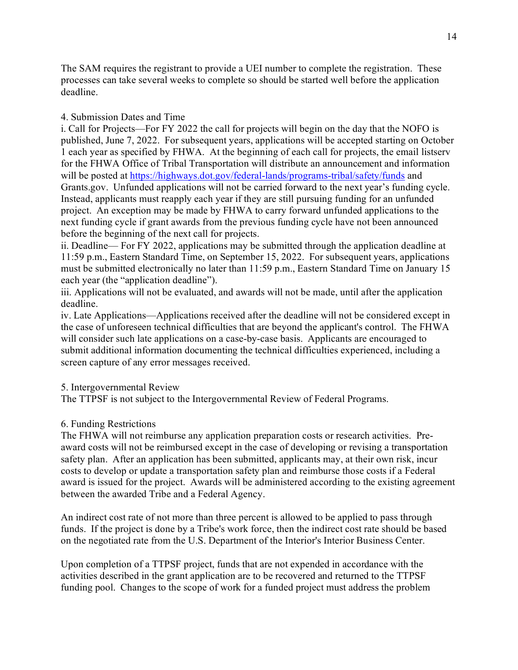The SAM requires the registrant to provide a UEI number to complete the registration. These processes can take several weeks to complete so should be started well before the application deadline.

<span id="page-13-0"></span>4. Submission Dates and Time

i. Call for Projects—For FY 2022 the call for projects will begin on the day that the NOFO is published, June 7, 2022. For subsequent years, applications will be accepted starting on October 1 each year as specified by FHWA. At the beginning of each call for projects, the email listserv for the FHWA Office of Tribal Transportation will distribute an announcement and information will be posted at<https://highways.dot.gov/federal-lands/programs-tribal/safety/funds> and Grants.gov. Unfunded applications will not be carried forward to the next year's funding cycle. Instead, applicants must reapply each year if they are still pursuing funding for an unfunded project. An exception may be made by FHWA to carry forward unfunded applications to the next funding cycle if grant awards from the previous funding cycle have not been announced before the beginning of the next call for projects.

ii. Deadline— For FY 2022, applications may be submitted through the application deadline at 11:59 p.m., Eastern Standard Time, on September 15, 2022. For subsequent years, applications must be submitted electronically no later than 11:59 p.m., Eastern Standard Time on January 15 each year (the "application deadline").

iii. Applications will not be evaluated, and awards will not be made, until after the application deadline.

iv. Late Applications—Applications received after the deadline will not be considered except in the case of unforeseen technical difficulties that are beyond the applicant's control. The FHWA will consider such late applications on a case-by-case basis. Applicants are encouraged to submit additional information documenting the technical difficulties experienced, including a screen capture of any error messages received.

### <span id="page-13-1"></span>5. Intergovernmental Review

The TTPSF is not subject to the Intergovernmental Review of Federal Programs.

### <span id="page-13-2"></span>6. Funding Restrictions

The FHWA will not reimburse any application preparation costs or research activities. Preaward costs will not be reimbursed except in the case of developing or revising a transportation safety plan. After an application has been submitted, applicants may, at their own risk, incur costs to develop or update a transportation safety plan and reimburse those costs if a Federal award is issued for the project. Awards will be administered according to the existing agreement between the awarded Tribe and a Federal Agency.

An indirect cost rate of not more than three percent is allowed to be applied to pass through funds. If the project is done by a Tribe's work force, then the indirect cost rate should be based on the negotiated rate from the U.S. Department of the Interior's Interior Business Center.

Upon completion of a TTPSF project, funds that are not expended in accordance with the activities described in the grant application are to be recovered and returned to the TTPSF funding pool. Changes to the scope of work for a funded project must address the problem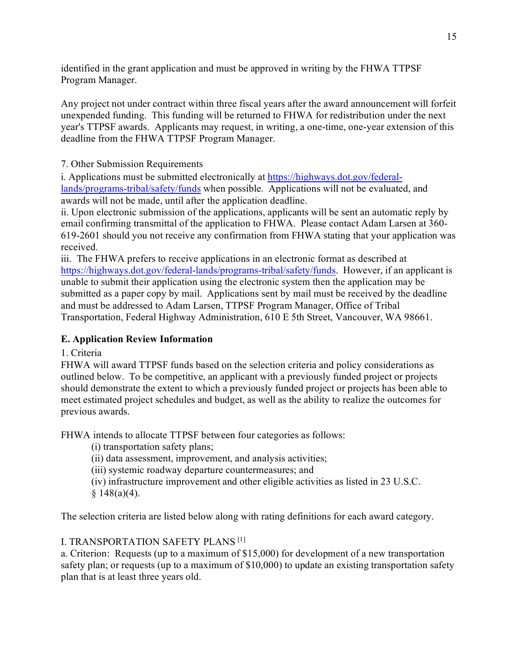identified in the grant application and must be approved in writing by the FHWA TTPSF Program Manager.

Any project not under contract within three fiscal years after the award announcement will forfeit unexpended funding. This funding will be returned to FHWA for redistribution under the next year's TTPSF awards. Applicants may request, in writing, a one-time, one-year extension of this deadline from the FHWA TTPSF Program Manager.

7. Other Submission Requirements

i. Applications must be submitted electronically at [https://highways.dot.gov/federal](https://highways.dot.gov/federal-lands/programs-tribal/safety/funds)[lands/programs-tribal/safety/funds](https://highways.dot.gov/federal-lands/programs-tribal/safety/funds) when possible*.* Applications will not be evaluated, and awards will not be made, until after the application deadline.

ii. Upon electronic submission of the applications, applicants will be sent an automatic reply by email confirming transmittal of the application to FHWA. Please contact Adam Larsen at 360- 619-2601 should you not receive any confirmation from FHWA stating that your application was received.

iii. The FHWA prefers to receive applications in an electronic format as described at [https://highways.dot.gov/federal-lands/programs-tribal/safety/funds.](https://highways.dot.gov/federal-lands/programs-tribal/safety/funds) However, if an applicant is unable to submit their application using the electronic system then the application may be submitted as a paper copy by mail. Applications sent by mail must be received by the deadline and must be addressed to Adam Larsen, TTPSF Program Manager, Office of Tribal Transportation, Federal Highway Administration, 610 E 5th Street, Vancouver, WA 98661.

# <span id="page-14-0"></span>**E. Application Review Information**

<span id="page-14-1"></span>1. Criteria

FHWA will award TTPSF funds based on the selection criteria and policy considerations as outlined below. To be competitive, an applicant with a previously funded project or projects should demonstrate the extent to which a previously funded project or projects has been able to meet estimated project schedules and budget, as well as the ability to realize the outcomes for previous awards.

FHWA intends to allocate TTPSF between four categories as follows:

(i) transportation safety plans;

(ii) data assessment, improvement, and analysis activities;

(iii) systemic roadway departure countermeasures; and

(iv) infrastructure improvement and other eligible activities as listed in 23 U.S.C.  $§ 148(a)(4).$ 

The selection criteria are listed below along with rating definitions for each award category.

I. TRANSPORTATION SAFETY PLANS [1]

a. Criterion: Requests (up to a maximum of \$15,000) for development of a new transportation safety plan; or requests (up to a maximum of \$10,000) to update an existing transportation safety plan that is at least three years old.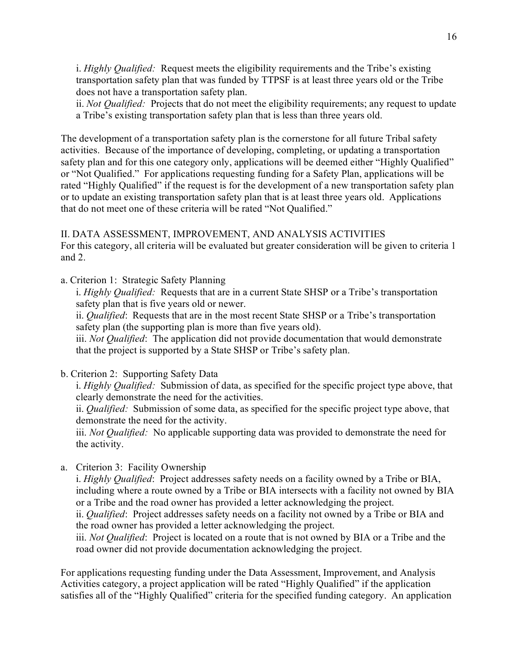i. *Highly Qualified:* Request meets the eligibility requirements and the Tribe's existing transportation safety plan that was funded by TTPSF is at least three years old or the Tribe does not have a transportation safety plan.

ii. *Not Qualified:* Projects that do not meet the eligibility requirements; any request to update a Tribe's existing transportation safety plan that is less than three years old.

The development of a transportation safety plan is the cornerstone for all future Tribal safety activities. Because of the importance of developing, completing, or updating a transportation safety plan and for this one category only, applications will be deemed either "Highly Qualified" or "Not Qualified." For applications requesting funding for a Safety Plan, applications will be rated "Highly Qualified" if the request is for the development of a new transportation safety plan or to update an existing transportation safety plan that is at least three years old. Applications that do not meet one of these criteria will be rated "Not Qualified."

### II. DATA ASSESSMENT, IMPROVEMENT, AND ANALYSIS ACTIVITIES

For this category, all criteria will be evaluated but greater consideration will be given to criteria 1 and 2.

a. Criterion 1: Strategic Safety Planning

i. *Highly Qualified:* Requests that are in a current State SHSP or a Tribe's transportation safety plan that is five years old or newer.

ii. *Qualified*: Requests that are in the most recent State SHSP or a Tribe's transportation safety plan (the supporting plan is more than five years old).

iii. *Not Qualified*: The application did not provide documentation that would demonstrate that the project is supported by a State SHSP or Tribe's safety plan.

# b. Criterion 2: Supporting Safety Data

i. *Highly Qualified:* Submission of data, as specified for the specific project type above, that clearly demonstrate the need for the activities.

ii. *Qualified:* Submission of some data, as specified for the specific project type above, that demonstrate the need for the activity.

iii. *Not Qualified:* No applicable supporting data was provided to demonstrate the need for the activity.

a. Criterion 3: Facility Ownership

i. *Highly Qualified*: Project addresses safety needs on a facility owned by a Tribe or BIA, including where a route owned by a Tribe or BIA intersects with a facility not owned by BIA or a Tribe and the road owner has provided a letter acknowledging the project.

ii. *Qualified*: Project addresses safety needs on a facility not owned by a Tribe or BIA and the road owner has provided a letter acknowledging the project.

iii. *Not Qualified*: Project is located on a route that is not owned by BIA or a Tribe and the road owner did not provide documentation acknowledging the project.

For applications requesting funding under the Data Assessment, Improvement, and Analysis Activities category, a project application will be rated "Highly Qualified" if the application satisfies all of the "Highly Qualified" criteria for the specified funding category. An application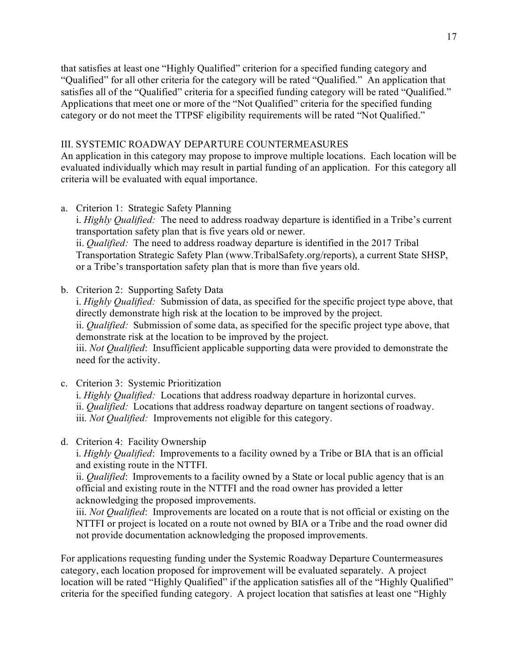that satisfies at least one "Highly Qualified" criterion for a specified funding category and "Qualified" for all other criteria for the category will be rated "Qualified." An application that satisfies all of the "Qualified" criteria for a specified funding category will be rated "Qualified." Applications that meet one or more of the "Not Qualified" criteria for the specified funding category or do not meet the TTPSF eligibility requirements will be rated "Not Qualified."

### III. SYSTEMIC ROADWAY DEPARTURE COUNTERMEASURES

An application in this category may propose to improve multiple locations. Each location will be evaluated individually which may result in partial funding of an application. For this category all criteria will be evaluated with equal importance.

a. Criterion 1: Strategic Safety Planning

i. *Highly Qualified:* The need to address roadway departure is identified in a Tribe's current transportation safety plan that is five years old or newer. ii. *Qualified:* The need to address roadway departure is identified in the 2017 Tribal Transportation Strategic Safety Plan (www.TribalSafety.org/reports), a current State SHSP,

or a Tribe's transportation safety plan that is more than five years old.

b. Criterion 2: Supporting Safety Data

i. *Highly Qualified:* Submission of data, as specified for the specific project type above, that directly demonstrate high risk at the location to be improved by the project. ii. *Qualified:* Submission of some data, as specified for the specific project type above, that demonstrate risk at the location to be improved by the project. iii. *Not Qualified*: Insufficient applicable supporting data were provided to demonstrate the need for the activity.

- c. Criterion 3: Systemic Prioritization i. *Highly Qualified:* Locations that address roadway departure in horizontal curves. ii. *Qualified:* Locations that address roadway departure on tangent sections of roadway. iii. *Not Qualified:* Improvements not eligible for this category.
- d. Criterion 4: Facility Ownership

i. *Highly Qualified*: Improvements to a facility owned by a Tribe or BIA that is an official and existing route in the NTTFI.

ii. *Qualified*: Improvements to a facility owned by a State or local public agency that is an official and existing route in the NTTFI and the road owner has provided a letter acknowledging the proposed improvements.

iii. *Not Qualified*: Improvements are located on a route that is not official or existing on the NTTFI or project is located on a route not owned by BIA or a Tribe and the road owner did not provide documentation acknowledging the proposed improvements.

For applications requesting funding under the Systemic Roadway Departure Countermeasures category, each location proposed for improvement will be evaluated separately. A project location will be rated "Highly Qualified" if the application satisfies all of the "Highly Qualified" criteria for the specified funding category. A project location that satisfies at least one "Highly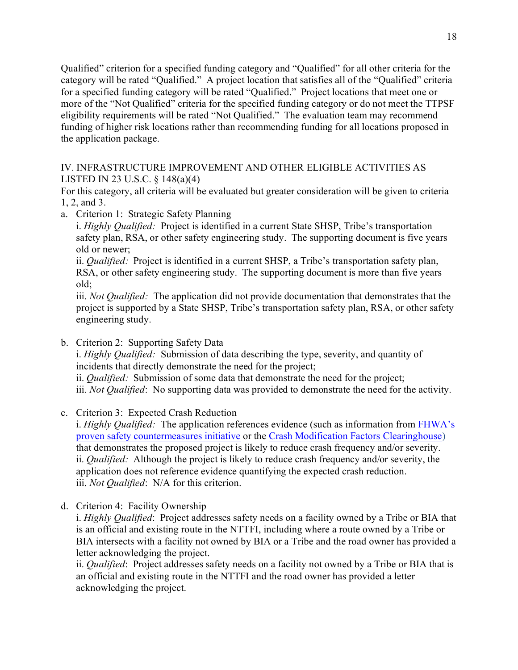Qualified" criterion for a specified funding category and "Qualified" for all other criteria for the category will be rated "Qualified." A project location that satisfies all of the "Qualified" criteria for a specified funding category will be rated "Qualified." Project locations that meet one or more of the "Not Qualified" criteria for the specified funding category or do not meet the TTPSF eligibility requirements will be rated "Not Qualified." The evaluation team may recommend funding of higher risk locations rather than recommending funding for all locations proposed in the application package.

## IV. INFRASTRUCTURE IMPROVEMENT AND OTHER ELIGIBLE ACTIVITIES AS LISTED IN 23 U.S.C. § 148(a)(4)

For this category, all criteria will be evaluated but greater consideration will be given to criteria 1, 2, and 3.

a. Criterion 1: Strategic Safety Planning

i. *Highly Qualified:* Project is identified in a current State SHSP, Tribe's transportation safety plan, RSA, or other safety engineering study. The supporting document is five years old or newer;

ii. *Qualified:* Project is identified in a current SHSP, a Tribe's transportation safety plan, RSA, or other safety engineering study. The supporting document is more than five years old;

iii. *Not Qualified:* The application did not provide documentation that demonstrates that the project is supported by a State SHSP, Tribe's transportation safety plan, RSA, or other safety engineering study.

b. Criterion 2: Supporting Safety Data

i. *Highly Qualified:* Submission of data describing the type, severity, and quantity of incidents that directly demonstrate the need for the project;

ii. *Qualified:* Submission of some data that demonstrate the need for the project; iii. *Not Qualified*: No supporting data was provided to demonstrate the need for the activity.

c. Criterion 3: Expected Crash Reduction

i. *Highly Qualified:* The application references evidence (such as information from [FHWA's](https://safety.fhwa.dot.gov/provencountermeasures/)  [proven safety countermeasures initiative](https://safety.fhwa.dot.gov/provencountermeasures/) [or](https://safety.fhwa.dot.gov/provencountermeasures/) the [Crash Modification Factors Clearinghouse\)](http://www.cmfclearinghouse.org/) that demonstrates the proposed project is likely to reduce crash frequency and/or severity. ii. *Qualified:* Although the project is likely to reduce crash frequency and/or severity, the application does not reference evidence quantifying the expected crash reduction. iii. *Not Qualified*: N/A for this criterion.

d. Criterion 4: Facility Ownership

i. *Highly Qualified*: Project addresses safety needs on a facility owned by a Tribe or BIA that is an official and existing route in the NTTFI, including where a route owned by a Tribe or BIA intersects with a facility not owned by BIA or a Tribe and the road owner has provided a letter acknowledging the project.

ii. *Qualified*: Project addresses safety needs on a facility not owned by a Tribe or BIA that is an official and existing route in the NTTFI and the road owner has provided a letter acknowledging the project.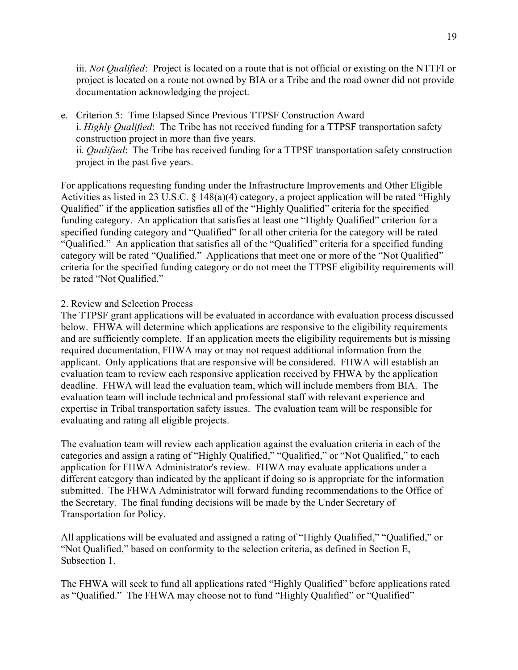iii. *Not Qualified*: Project is located on a route that is not official or existing on the NTTFI or project is located on a route not owned by BIA or a Tribe and the road owner did not provide documentation acknowledging the project.

e. Criterion 5: Time Elapsed Since Previous TTPSF Construction Award i. *Highly Qualified*: The Tribe has not received funding for a TTPSF transportation safety construction project in more than five years. ii. *Qualified*: The Tribe has received funding for a TTPSF transportation safety construction project in the past five years.

For applications requesting funding under the Infrastructure Improvements and Other Eligible Activities as listed in 23 U.S.C. § 148(a)(4) category, a project application will be rated "Highly Qualified" if the application satisfies all of the "Highly Qualified" criteria for the specified funding category. An application that satisfies at least one "Highly Qualified" criterion for a specified funding category and "Qualified" for all other criteria for the category will be rated "Qualified." An application that satisfies all of the "Qualified" criteria for a specified funding category will be rated "Qualified." Applications that meet one or more of the "Not Qualified" criteria for the specified funding category or do not meet the TTPSF eligibility requirements will be rated "Not Qualified."

### <span id="page-18-0"></span>2. Review and Selection Process

The TTPSF grant applications will be evaluated in accordance with evaluation process discussed below. FHWA will determine which applications are responsive to the eligibility requirements and are sufficiently complete. If an application meets the eligibility requirements but is missing required documentation, FHWA may or may not request additional information from the applicant. Only applications that are responsive will be considered. FHWA will establish an evaluation team to review each responsive application received by FHWA by the application deadline. FHWA will lead the evaluation team, which will include members from BIA. The evaluation team will include technical and professional staff with relevant experience and expertise in Tribal transportation safety issues. The evaluation team will be responsible for evaluating and rating all eligible projects.

The evaluation team will review each application against the evaluation criteria in each of the categories and assign a rating of "Highly Qualified," "Qualified," or "Not Qualified," to each application for FHWA Administrator's review. FHWA may evaluate applications under a different category than indicated by the applicant if doing so is appropriate for the information submitted. The FHWA Administrator will forward funding recommendations to the Office of the Secretary. The final funding decisions will be made by the Under Secretary of Transportation for Policy.

All applications will be evaluated and assigned a rating of "Highly Qualified," "Qualified," or "Not Qualified," based on conformity to the selection criteria, as defined in Section E, Subsection 1.

The FHWA will seek to fund all applications rated "Highly Qualified" before applications rated as "Qualified." The FHWA may choose not to fund "Highly Qualified" or "Qualified"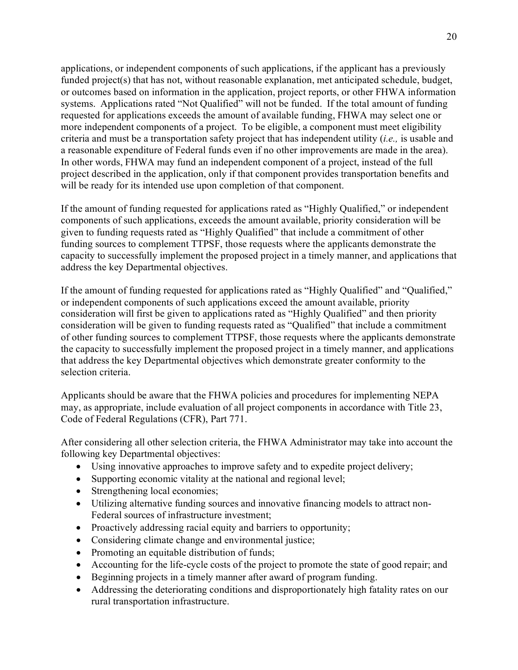applications, or independent components of such applications, if the applicant has a previously funded project(s) that has not, without reasonable explanation, met anticipated schedule, budget, or outcomes based on information in the application, project reports, or other FHWA information systems. Applications rated "Not Qualified" will not be funded. If the total amount of funding requested for applications exceeds the amount of available funding, FHWA may select one or more independent components of a project. To be eligible, a component must meet eligibility criteria and must be a transportation safety project that has independent utility (*i.e.,* is usable and a reasonable expenditure of Federal funds even if no other improvements are made in the area). In other words, FHWA may fund an independent component of a project, instead of the full project described in the application, only if that component provides transportation benefits and will be ready for its intended use upon completion of that component.

If the amount of funding requested for applications rated as "Highly Qualified," or independent components of such applications, exceeds the amount available, priority consideration will be given to funding requests rated as "Highly Qualified" that include a commitment of other funding sources to complement TTPSF, those requests where the applicants demonstrate the capacity to successfully implement the proposed project in a timely manner, and applications that address the key Departmental objectives.

If the amount of funding requested for applications rated as "Highly Qualified" and "Qualified," or independent components of such applications exceed the amount available, priority consideration will first be given to applications rated as "Highly Qualified" and then priority consideration will be given to funding requests rated as "Qualified" that include a commitment of other funding sources to complement TTPSF, those requests where the applicants demonstrate the capacity to successfully implement the proposed project in a timely manner, and applications that address the key Departmental objectives which demonstrate greater conformity to the selection criteria.

Applicants should be aware that the FHWA policies and procedures for implementing NEPA may, as appropriate, include evaluation of all project components in accordance with Title 23, Code of Federal Regulations (CFR), Part 771.

<span id="page-19-0"></span>After considering all other selection criteria, the FHWA Administrator may take into account the following key Departmental objectives:

- Using innovative approaches to improve safety and to expedite project delivery;
- Supporting economic vitality at the national and regional level;
- Strengthening local economies;
- Utilizing alternative funding sources and innovative financing models to attract non-Federal sources of infrastructure investment;
- Proactively addressing racial equity and barriers to opportunity;
- Considering climate change and environmental justice;
- Promoting an equitable distribution of funds;
- Accounting for the life-cycle costs of the project to promote the state of good repair; and
- Beginning projects in a timely manner after award of program funding.
- Addressing the deteriorating conditions and disproportionately high fatality rates on our rural transportation infrastructure.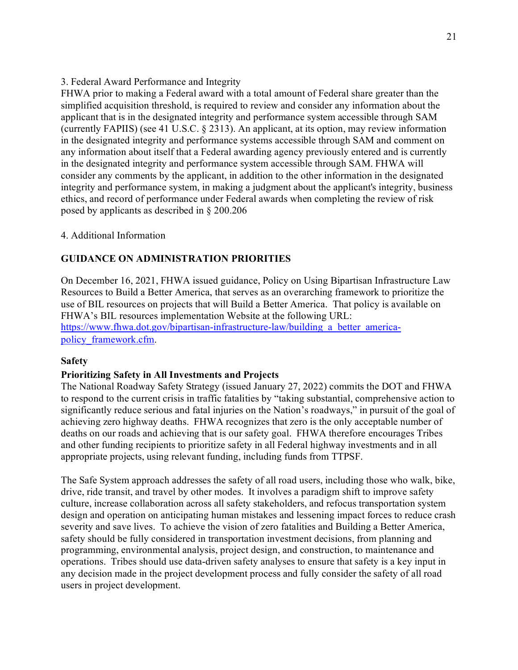## 3. Federal Award Performance and Integrity

FHWA prior to making a Federal award with a total amount of Federal share greater than the simplified acquisition threshold, is required to review and consider any information about the applicant that is in the designated integrity and performance system accessible through SAM (currently FAPIIS) (see 41 U.S.C. § 2313). An applicant, at its option, may review information in the designated integrity and performance systems accessible through SAM and comment on any information about itself that a Federal awarding agency previously entered and is currently in the designated integrity and performance system accessible through SAM. FHWA will consider any comments by the applicant, in addition to the other information in the designated integrity and performance system, in making a judgment about the applicant's integrity, business ethics, and record of performance under Federal awards when completing the review of risk posed by applicants as described in § 200.206

## 4. Additional Information

# **GUIDANCE ON ADMINISTRATION PRIORITIES**

On December 16, 2021, FHWA issued guidance, Policy on Using Bipartisan Infrastructure Law Resources to Build a Better America, that serves as an overarching framework to prioritize the use of BIL resources on projects that will Build a Better America. That policy is available on FHWA's BIL resources implementation Website at the following URL: https://www.fhwa.dot.gov/bipartisan-infrastructure-law/building a better america[policy\\_framework.cfm.](https://www.fhwa.dot.gov/bipartisan-infrastructure-law/building_a_better_america-policy_framework.cfm)

### **Safety**

### **Prioritizing Safety in All Investments and Projects**

The National Roadway Safety Strategy (issued January 27, 2022) commits the DOT and FHWA to respond to the current crisis in traffic fatalities by "taking substantial, comprehensive action to significantly reduce serious and fatal injuries on the Nation's roadways," in pursuit of the goal of achieving zero highway deaths. FHWA recognizes that zero is the only acceptable number of deaths on our roads and achieving that is our safety goal. FHWA therefore encourages Tribes and other funding recipients to prioritize safety in all Federal highway investments and in all appropriate projects, using relevant funding, including funds from TTPSF.

The Safe System approach addresses the safety of all road users, including those who walk, bike, drive, ride transit, and travel by other modes. It involves a paradigm shift to improve safety culture, increase collaboration across all safety stakeholders, and refocus transportation system design and operation on anticipating human mistakes and lessening impact forces to reduce crash severity and save lives. To achieve the vision of zero fatalities and Building a Better America, safety should be fully considered in transportation investment decisions, from planning and programming, environmental analysis, project design, and construction, to maintenance and operations. Tribes should use data-driven safety analyses to ensure that safety is a key input in any decision made in the project development process and fully consider the safety of all road users in project development.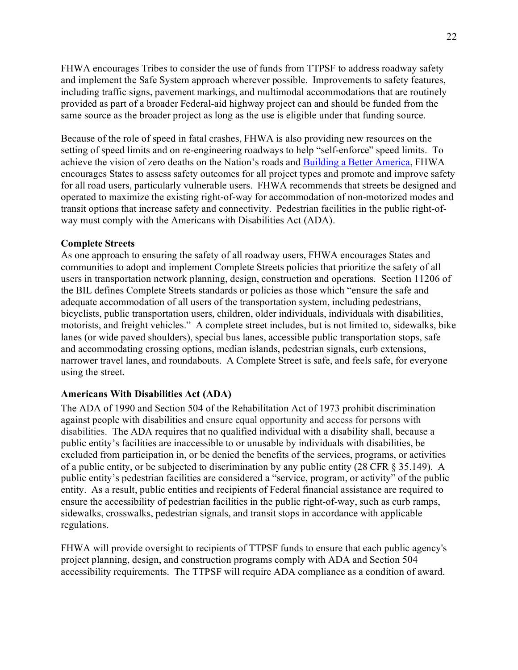FHWA encourages Tribes to consider the use of funds from TTPSF to address roadway safety and implement the Safe System approach wherever possible. Improvements to safety features, including traffic signs, pavement markings, and multimodal accommodations that are routinely provided as part of a broader Federal-aid highway project can and should be funded from the same source as the broader project as long as the use is eligible under that funding source.

Because of the role of speed in fatal crashes, FHWA is also providing new resources on the setting of speed limits and on re-engineering roadways to help "self-enforce" speed limits. To achieve the vision of zero deaths on the Nation's roads and [Building a Better America,](https://www.fhwa.dot.gov/bipartisan-infrastructure-law/building_a_better_america-policy_framework.cfm) FHWA encourages States to assess safety outcomes for all project types and promote and improve safety for all road users, particularly vulnerable users. FHWA recommends that streets be designed and operated to maximize the existing right-of-way for accommodation of non-motorized modes and transit options that increase safety and connectivity. Pedestrian facilities in the public right-ofway must comply with the Americans with Disabilities Act (ADA).

#### **Complete Streets**

As one approach to ensuring the safety of all roadway users, FHWA encourages States and communities to adopt and implement Complete Streets policies that prioritize the safety of all users in transportation network planning, design, construction and operations. Section 11206 of the BIL defines Complete Streets standards or policies as those which "ensure the safe and adequate accommodation of all users of the transportation system, including pedestrians, bicyclists, public transportation users, children, older individuals, individuals with disabilities, motorists, and freight vehicles." A complete street includes, but is not limited to, sidewalks, bike lanes (or wide paved shoulders), special bus lanes, accessible public transportation stops, safe and accommodating crossing options, median islands, pedestrian signals, curb extensions, narrower travel lanes, and roundabouts. A Complete Street is safe, and feels safe, for everyone using the street.

#### **Americans With Disabilities Act (ADA)**

The ADA of 1990 and Section 504 of the Rehabilitation Act of 1973 prohibit discrimination against people with disabilities and ensure equal opportunity and access for persons with disabilities. The ADA requires that no qualified individual with a disability shall, because a public entity's facilities are inaccessible to or unusable by individuals with disabilities, be excluded from participation in, or be denied the benefits of the services, programs, or activities of a public entity, or be subjected to discrimination by any public entity (28 CFR § 35.149). A public entity's pedestrian facilities are considered a "service, program, or activity" of the public entity. As a result, public entities and recipients of Federal financial assistance are required to ensure the accessibility of pedestrian facilities in the public right-of-way, such as curb ramps, sidewalks, crosswalks, pedestrian signals, and transit stops in accordance with applicable regulations.

FHWA will provide oversight to recipients of TTPSF funds to ensure that each public agency's project planning, design, and construction programs comply with ADA and Section 504 accessibility requirements. The TTPSF will require ADA compliance as a condition of award.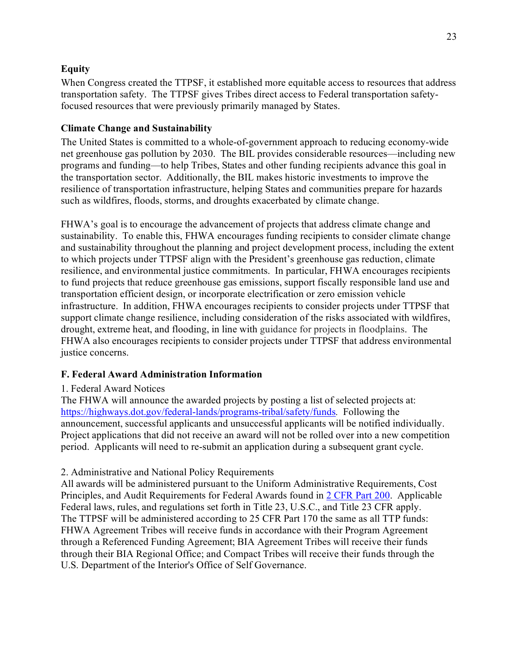# **Equity**

When Congress created the TTPSF, it established more equitable access to resources that address transportation safety. The TTPSF gives Tribes direct access to Federal transportation safetyfocused resources that were previously primarily managed by States.

# **Climate Change and Sustainability**

The United States is committed to a whole-of-government approach to reducing economy-wide net greenhouse gas pollution by 2030. The BIL provides considerable resources—including new programs and funding—to help Tribes, States and other funding recipients advance this goal in the transportation sector. Additionally, the BIL makes historic investments to improve the resilience of transportation infrastructure, helping States and communities prepare for hazards such as wildfires, floods, storms, and droughts exacerbated by climate change.

FHWA's goal is to encourage the advancement of projects that address climate change and sustainability. To enable this, FHWA encourages funding recipients to consider climate change and sustainability throughout the planning and project development process, including the extent to which projects under TTPSF align with the President's greenhouse gas reduction, climate resilience, and environmental justice commitments. In particular, FHWA encourages recipients to fund projects that reduce greenhouse gas emissions, support fiscally responsible land use and transportation efficient design, or incorporate electrification or zero emission vehicle infrastructure. In addition, FHWA encourages recipients to consider projects under TTPSF that support climate change resilience, including consideration of the risks associated with wildfires, drought, extreme heat, and flooding, in line with guidance for projects in floodplains. The FHWA also encourages recipients to consider projects under TTPSF that address environmental justice concerns.

# <span id="page-22-0"></span>**F. Federal Award Administration Information**

# <span id="page-22-1"></span>1. Federal Award Notices

The FHWA will announce the awarded projects by posting a list of selected projects at: <https://highways.dot.gov/federal-lands/programs-tribal/safety/funds>*.* Following the announcement, successful applicants and unsuccessful applicants will be notified individually. Project applications that did not receive an award will not be rolled over into a new competition period. Applicants will need to re-submit an application during a subsequent grant cycle.

# <span id="page-22-2"></span>2. Administrative and National Policy Requirements

All awards will be administered pursuant to the Uniform Administrative Requirements, Cost Principles, and Audit Requirements for Federal Awards found in [2 CFR Part 200.](https://www.federalregister.gov/select-citation/2017/09/21/2-CFR-200) Applicable Federal laws, rules, and regulations set forth in Title 23, U.S.C., and Title 23 CFR apply. The TTPSF will be administered according to 25 CFR Part 170 the same as all TTP funds: FHWA Agreement Tribes will receive funds in accordance with their Program Agreement through a Referenced Funding Agreement; BIA Agreement Tribes will receive their funds through their BIA Regional Office; and Compact Tribes will receive their funds through the U.S. Department of the Interior's Office of Self Governance.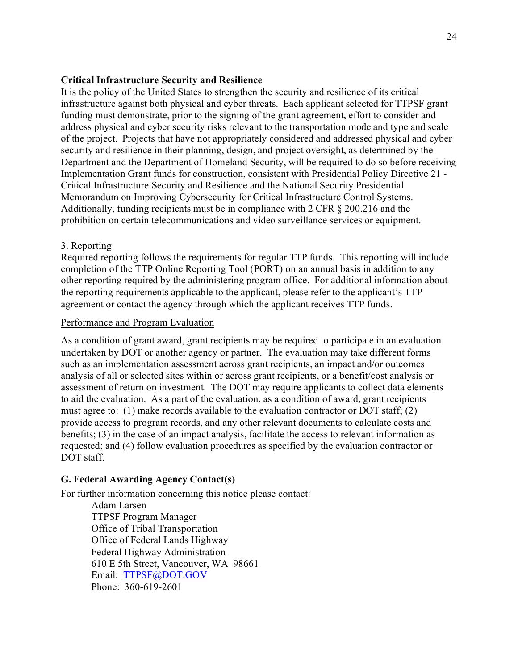#### **Critical Infrastructure Security and Resilience**

It is the policy of the United States to strengthen the security and resilience of its critical infrastructure against both physical and cyber threats. Each applicant selected for TTPSF grant funding must demonstrate, prior to the signing of the grant agreement, effort to consider and address physical and cyber security risks relevant to the transportation mode and type and scale of the project. Projects that have not appropriately considered and addressed physical and cyber security and resilience in their planning, design, and project oversight, as determined by the Department and the Department of Homeland Security, will be required to do so before receiving Implementation Grant funds for construction, consistent with Presidential Policy Directive 21 - Critical Infrastructure Security and Resilience and the National Security Presidential Memorandum on Improving Cybersecurity for Critical Infrastructure Control Systems. Additionally, funding recipients must be in compliance with 2 CFR § 200.216 and the prohibition on certain telecommunications and video surveillance services or equipment.

#### <span id="page-23-0"></span>3. Reporting

Required reporting follows the requirements for regular TTP funds. This reporting will include completion of the TTP Online Reporting Tool (PORT) on an annual basis in addition to any other reporting required by the administering program office. For additional information about the reporting requirements applicable to the applicant, please refer to the applicant's TTP agreement or contact the agency through which the applicant receives TTP funds.

### Performance and Program Evaluation

As a condition of grant award, grant recipients may be required to participate in an evaluation undertaken by DOT or another agency or partner. The evaluation may take different forms such as an implementation assessment across grant recipients, an impact and/or outcomes analysis of all or selected sites within or across grant recipients, or a benefit/cost analysis or assessment of return on investment. The DOT may require applicants to collect data elements to aid the evaluation. As a part of the evaluation, as a condition of award, grant recipients must agree to: (1) make records available to the evaluation contractor or DOT staff; (2) provide access to program records, and any other relevant documents to calculate costs and benefits; (3) in the case of an impact analysis, facilitate the access to relevant information as requested; and (4) follow evaluation procedures as specified by the evaluation contractor or DOT staff.

### <span id="page-23-1"></span>**G. Federal Awarding Agency Contact(s)**

For further information concerning this notice please contact:

Adam Larsen TTPSF Program Manager Office of Tribal Transportation Office of Federal Lands Highway Federal Highway Administration 610 E 5th Street, Vancouver, WA 98661 Email: [TTPSF@DOT.GOV](mailto:TTPSF@DOT.GOV)  Phone: 360-619-2601